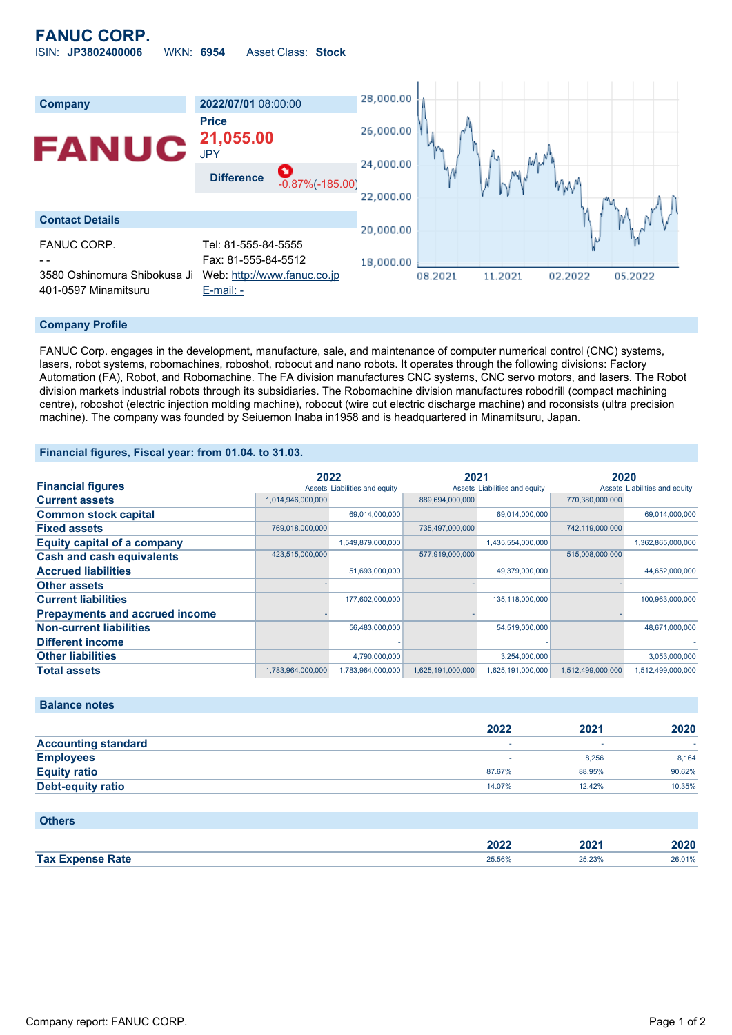

### **Company Profile**

FANUC Corp. engages in the development, manufacture, sale, and maintenance of computer numerical control (CNC) systems, lasers, robot systems, robomachines, roboshot, robocut and nano robots. It operates through the following divisions: Factory Automation (FA), Robot, and Robomachine. The FA division manufactures CNC systems, CNC servo motors, and lasers. The Robot division markets industrial robots through its subsidiaries. The Robomachine division manufactures robodrill (compact machining centre), roboshot (electric injection molding machine), robocut (wire cut electric discharge machine) and roconsists (ultra precision machine). The company was founded by Seiuemon Inaba in1958 and is headquartered in Minamitsuru, Japan.

### **Financial figures, Fiscal year: from 01.04. to 31.03.**

|                                       | 2022              |                               | 2021              |                               | 2020              |                               |
|---------------------------------------|-------------------|-------------------------------|-------------------|-------------------------------|-------------------|-------------------------------|
| <b>Financial figures</b>              |                   | Assets Liabilities and equity |                   | Assets Liabilities and equity |                   | Assets Liabilities and equity |
| <b>Current assets</b>                 | 1,014,946,000,000 |                               | 889,694,000,000   |                               | 770,380,000,000   |                               |
| <b>Common stock capital</b>           |                   | 69,014,000,000                |                   | 69,014,000,000                |                   | 69,014,000,000                |
| <b>Fixed assets</b>                   | 769,018,000,000   |                               | 735,497,000,000   |                               | 742,119,000,000   |                               |
| <b>Equity capital of a company</b>    |                   | 1,549,879,000,000             |                   | 1,435,554,000,000             |                   | 1,362,865,000,000             |
| <b>Cash and cash equivalents</b>      | 423,515,000,000   |                               | 577,919,000,000   |                               | 515,008,000,000   |                               |
| <b>Accrued liabilities</b>            |                   | 51,693,000,000                |                   | 49,379,000,000                |                   | 44,652,000,000                |
| <b>Other assets</b>                   |                   |                               |                   |                               |                   |                               |
| <b>Current liabilities</b>            |                   | 177,602,000,000               |                   | 135,118,000,000               |                   | 100,963,000,000               |
| <b>Prepayments and accrued income</b> |                   |                               |                   |                               |                   |                               |
| <b>Non-current liabilities</b>        |                   | 56,483,000,000                |                   | 54,519,000,000                |                   | 48,671,000,000                |
| <b>Different income</b>               |                   |                               |                   |                               |                   |                               |
| <b>Other liabilities</b>              |                   | 4,790,000,000                 |                   | 3,254,000,000                 |                   | 3,053,000,000                 |
| <b>Total assets</b>                   | 1,783,964,000,000 | 1,783,964,000,000             | 1,625,191,000,000 | 1,625,191,000,000             | 1,512,499,000,000 | 1,512,499,000,000             |

### **Balance notes**

|                            | 2022   | 2021   | 2020   |
|----------------------------|--------|--------|--------|
| <b>Accounting standard</b> |        |        |        |
| <b>Employees</b>           |        | 8.256  | 8.164  |
| <b>Equity ratio</b>        | 87.67% | 88.95% | 90.62% |
| <b>Debt-equity ratio</b>   | 14.07% | 12.42% | 10.35% |

#### **Others**

|         | 2002<br>AUZA – | $-04$ | .      |
|---------|----------------|-------|--------|
| Tax $E$ | 25560          | 5.23% | 26.01% |
| Rate    | .              | .     |        |